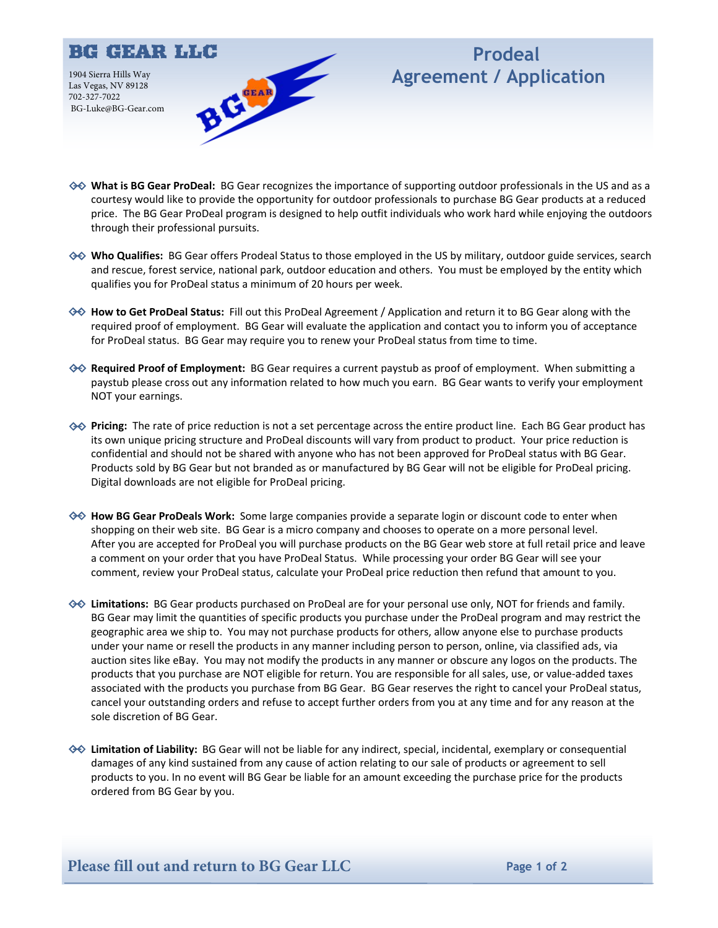

## **Prodeal Agreement / Application**

- ◆◆ What is BG Gear ProDeal: BG Gear recognizes the importance of supporting outdoor professionals in the US and as a courtesy would like to provide the opportunity for outdoor professionals to purchase BG Gear products at a reduced price. The BG Gear ProDeal program is designed to help outfit individuals who work hard while enjoying the outdoors through their professional pursuits.
- **◆ Who Qualifies:** BG Gear offers Prodeal Status to those employed in the US by military, outdoor guide services, search and rescue, forest service, national park, outdoor education and others. You must be employed by the entity which qualifies you for ProDeal status a minimum of 20 hours per week.
- **How to Get ProDeal Status:** Fill out this ProDeal Agreement / Application and return it to BG Gear along with the required proof of employment. BG Gear will evaluate the application and contact you to inform you of acceptance for ProDeal status. BG Gear may require you to renew your ProDeal status from time to time.
- **◆◆ Required Proof of Employment:** BG Gear requires a current paystub as proof of employment. When submitting a paystub please cross out any information related to how much you earn. BG Gear wants to verify your employment NOT your earnings.
- ◆◆ **Pricing:** The rate of price reduction is not a set percentage across the entire product line. Each BG Gear product has its own unique pricing structure and ProDeal discounts will vary from product to product. Your price reduction is confidential and should not be shared with anyone who has not been approved for ProDeal status with BG Gear. Products sold by BG Gear but not branded as or manufactured by BG Gear will not be eligible for ProDeal pricing. Digital downloads are not eligible for ProDeal pricing.
- **How BG Gear ProDeals Work:** Some large companies provide a separate login or discount code to enter when shopping on their web site. BG Gear is a micro company and chooses to operate on a more personal level. After you are accepted for ProDeal you will purchase products on the BG Gear web store at full retail price and leave a comment on your order that you have ProDeal Status. While processing your order BG Gear will see your comment, review your ProDeal status, calculate your ProDeal price reduction then refund that amount to you.
- ◆ Limitations: BG Gear products purchased on ProDeal are for your personal use only, NOT for friends and family. BG Gear may limit the quantities of specific products you purchase under the ProDeal program and may restrict the geographic area we ship to. You may not purchase products for others, allow anyone else to purchase products under your name or resell the products in any manner including person to person, online, via classified ads, via auction sites like eBay. You may not modify the products in any manner or obscure any logos on the products. The products that you purchase are NOT eligible for return. You are responsible for all sales, use, or value-added taxes associated with the products you purchase from BG Gear. BG Gear reserves the right to cancel your ProDeal status, cancel your outstanding orders and refuse to accept further orders from you at any time and for any reason at the sole discretion of BG Gear.
- **Limitation of Liability:** BG Gear will not be liable for any indirect, special, incidental, exemplary or consequential damages of any kind sustained from any cause of action relating to our sale of products or agreement to sell products to you. In no event will BG Gear be liable for an amount exceeding the purchase price for the products ordered from BG Gear by you.